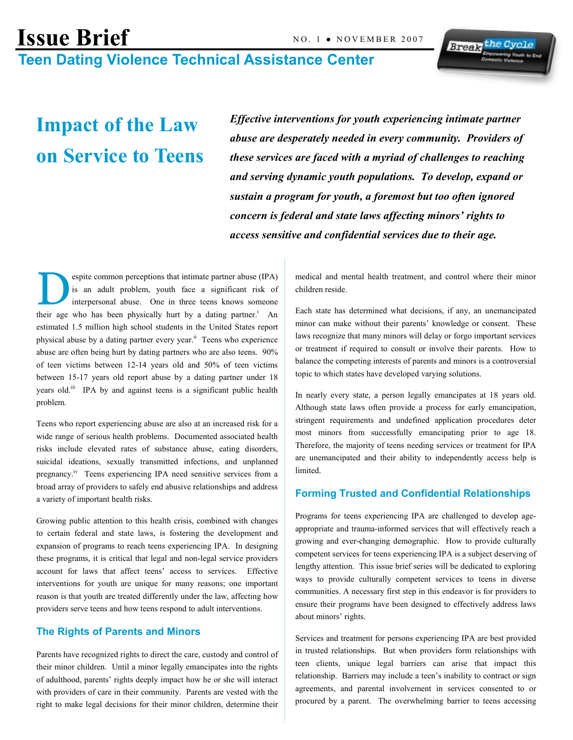# Issue Brief NO. 1 . NOVEMBER 2007 Teen Dating Violence Technical Assistance Center

# Impact of the Law on Service to Teens

Effective interventions for youth experiencing intimate partner abuse are desperately needed in every community. Providers of these services are faced with a myriad of challenges to reaching and serving dynamic youth populations. To develop, expand or sustain a program for youth, a foremost but too often ignored concern is federal and state laws affecting minors' rights to access sensitive and confidential services due to their age.

espite common perceptions that intimate partner abuse (IPA) is an adult problem, youth face a significant risk of interpersonal abuse. One in three teens knows someone their age who has been physically hurt by a dating partner.<sup>i</sup> An estimated 1.5 million high school students in the United States report physical abuse by a dating partner every year.<sup>ii</sup> Teens who experience abuse are often being hurt by dating partners who are also teens. 90% of teen victims between 12-14 years old and 50% of teen victims between 15-17 years old report abuse by a dating partner under 18 years old.<sup>iii</sup> IPA by and against teens is a significant public health problem.

Teens who report experiencing abuse are also at an increased risk for a wide range of serious health problems. Documented associated health risks include elevated rates of substance abuse, eating disorders, suicidal ideations, sexually transmitted infections, and unplanned pregnancy.iv Teens experiencing IPA need sensitive services from a broad array of providers to safely end abusive relationships and address a variety of important health risks.

Growing public attention to this health crisis, combined with changes to certain federal and state laws, is fostering the development and expansion of programs to reach teens experiencing IPA. In designing these programs, it is critical that legal and non-legal service providers account for laws that affect teens' access to services. Effective interventions for youth are unique for many reasons; one important reason is that youth are treated differently under the law, affecting how providers serve teens and how teens respond to adult interventions.

#### The Rights of Parents and Minors

Parents have recognized rights to direct the care, custody and control of their minor children. Until a minor legally emancipates into the rights of adulthood, parents' rights deeply impact how he or she will interact with providers of care in their community. Parents are vested with the right to make legal decisions for their minor children, determine their medical and mental health treatment, and control where their minor children reside.

**Break** the Cycle

Each state has determined what decisions, if any, an unemancipated minor can make without their parents' knowledge or consent. These laws recognize that many minors will delay or forgo important services or treatment if required to consult or involve their parents. How to balance the competing interests of parents and minors is a controversial topic to which states have developed varying solutions.

In nearly every state, a person legally emancipates at 18 years old. Although state laws often provide a process for early emancipation, stringent requirements and undefined application procedures deter most minors from successfully emancipating prior to age 18. Therefore, the majority of teens needing services or treatment for IPA are unemancipated and their ability to independently access help is limited.

### Forming Trusted and Confidential Relationships

Programs for teens experiencing IPA are challenged to develop ageappropriate and trauma-informed services that will effectively reach a growing and ever-changing demographic. How to provide culturally competent services for teens experiencing IPA is a subject deserving of lengthy attention. This issue brief series will be dedicated to exploring ways to provide culturally competent services to teens in diverse communities. A necessary first step in this endeavor is for providers to ensure their programs have been designed to effectively address laws about minors' rights.

Services and treatment for persons experiencing IPA are best provided in trusted relationships. But when providers form relationships with teen clients, unique legal barriers can arise that impact this relationship. Barriers may include a teen's inability to contract or sign agreements, and parental involvement in services consented to or procured by a parent. The overwhelming barrier to teens accessing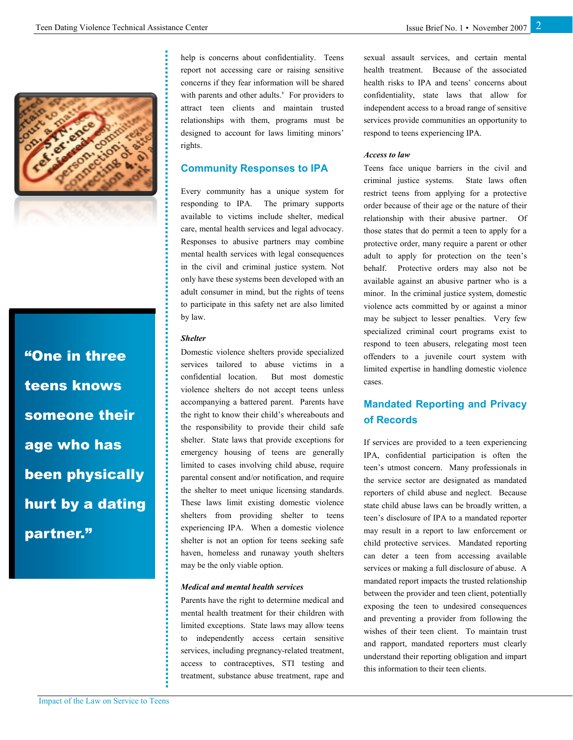

"One in three teens knows someone their age who has been physically hurt by a dating partner."

help is concerns about confidentiality. Teens report not accessing care or raising sensitive concerns if they fear information will be shared with parents and other adults. $<sup>v</sup>$  For providers to</sup> attract teen clients and maintain trusted relationships with them, programs must be designed to account for laws limiting minors' rights.

#### Community Responses to IPA

Every community has a unique system for responding to IPA. The primary supports available to victims include shelter, medical care, mental health services and legal advocacy. Responses to abusive partners may combine mental health services with legal consequences in the civil and criminal justice system. Not only have these systems been developed with an adult consumer in mind, but the rights of teens to participate in this safety net are also limited by law.

#### Shelter

Domestic violence shelters provide specialized services tailored to abuse victims in a confidential location. But most domestic violence shelters do not accept teens unless accompanying a battered parent. Parents have the right to know their child's whereabouts and the responsibility to provide their child safe shelter. State laws that provide exceptions for emergency housing of teens are generally limited to cases involving child abuse, require parental consent and/or notification, and require the shelter to meet unique licensing standards. These laws limit existing domestic violence shelters from providing shelter to teens experiencing IPA. When a domestic violence shelter is not an option for teens seeking safe haven, homeless and runaway youth shelters may be the only viable option.

#### Medical and mental health services

Parents have the right to determine medical and mental health treatment for their children with limited exceptions. State laws may allow teens to independently access certain sensitive services, including pregnancy-related treatment, access to contraceptives, STI testing and treatment, substance abuse treatment, rape and sexual assault services, and certain mental health treatment. Because of the associated health risks to IPA and teens' concerns about confidentiality, state laws that allow for independent access to a broad range of sensitive services provide communities an opportunity to respond to teens experiencing IPA.

#### Access to law

Teens face unique barriers in the civil and criminal justice systems. State laws often restrict teens from applying for a protective order because of their age or the nature of their relationship with their abusive partner. Of those states that do permit a teen to apply for a protective order, many require a parent or other adult to apply for protection on the teen's behalf. Protective orders may also not be available against an abusive partner who is a minor. In the criminal justice system, domestic violence acts committed by or against a minor may be subject to lesser penalties. Very few specialized criminal court programs exist to respond to teen abusers, relegating most teen offenders to a juvenile court system with limited expertise in handling domestic violence cases.

## Mandated Reporting and Privacy of Records

If services are provided to a teen experiencing IPA, confidential participation is often the teen's utmost concern. Many professionals in the service sector are designated as mandated reporters of child abuse and neglect. Because state child abuse laws can be broadly written, a teen's disclosure of IPA to a mandated reporter may result in a report to law enforcement or child protective services. Mandated reporting can deter a teen from accessing available services or making a full disclosure of abuse. A mandated report impacts the trusted relationship between the provider and teen client, potentially exposing the teen to undesired consequences and preventing a provider from following the wishes of their teen client. To maintain trust and rapport, mandated reporters must clearly understand their reporting obligation and impart this information to their teen clients.